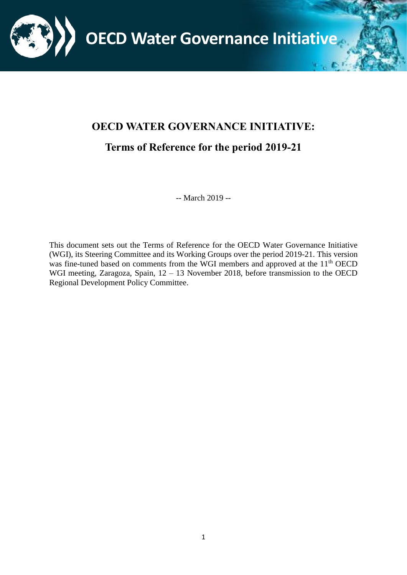

# <span id="page-0-0"></span>**OECD WATER GOVERNANCE INITIATIVE:**

# <span id="page-0-1"></span>**Terms of Reference for the period 2019-21**

-- March 2019 --

This document sets out the Terms of Reference for the OECD Water Governance Initiative (WGI), its Steering Committee and its Working Groups over the period 2019-21. This version was fine-tuned based on comments from the WGI members and approved at the 11<sup>th</sup> OECD WGI meeting, Zaragoza, Spain, 12 – 13 November 2018, before transmission to the OECD Regional Development Policy Committee.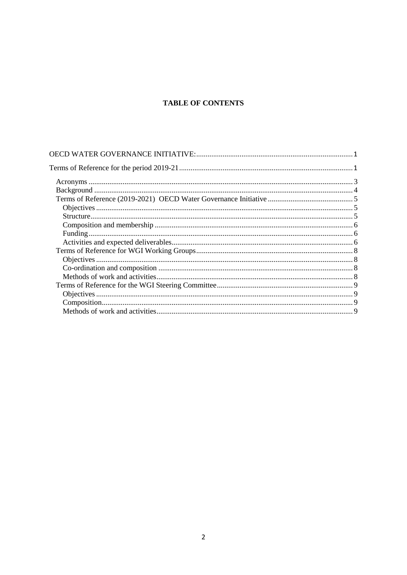# **TABLE OF CONTENTS**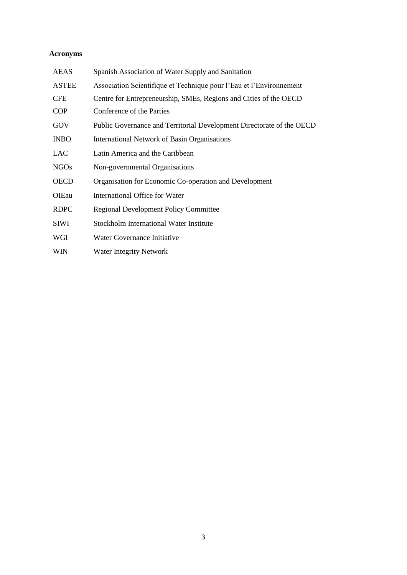# <span id="page-2-0"></span>**Acronyms**

| <b>AEAS</b>  | Spanish Association of Water Supply and Sanitation                    |
|--------------|-----------------------------------------------------------------------|
| <b>ASTEE</b> | Association Scientifique et Technique pour l'Eau et l'Environnement   |
| <b>CFE</b>   | Centre for Entrepreneurship, SMEs, Regions and Cities of the OECD     |
| <b>COP</b>   | Conference of the Parties                                             |
| GOV          | Public Governance and Territorial Development Directorate of the OECD |
| <b>INBO</b>  | <b>International Network of Basin Organisations</b>                   |
| <b>LAC</b>   | Latin America and the Caribbean                                       |
| <b>NGOs</b>  | Non-governmental Organisations                                        |
| <b>OECD</b>  | Organisation for Economic Co-operation and Development                |
| OIEau        | International Office for Water                                        |
| <b>RDPC</b>  | <b>Regional Development Policy Committee</b>                          |
| <b>SIWI</b>  | Stockholm International Water Institute                               |
| WGI          | Water Governance Initiative                                           |
| <b>WIN</b>   | <b>Water Integrity Network</b>                                        |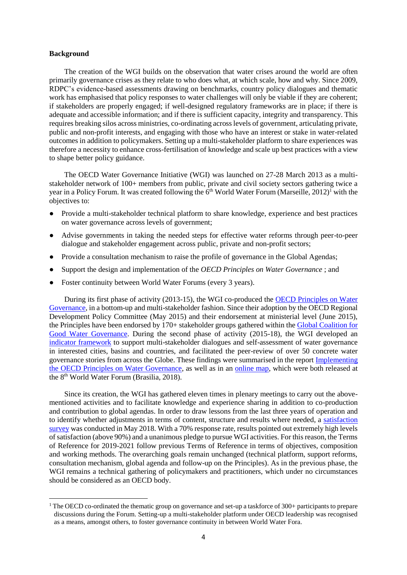#### <span id="page-3-0"></span>**Background**

 $\overline{a}$ 

The creation of the WGI builds on the observation that water crises around the world are often primarily governance crises as they relate to who does what, at which scale, how and why. Since 2009, RDPC's evidence-based assessments drawing on benchmarks, country policy dialogues and thematic work has emphasised that policy responses to water challenges will only be viable if they are coherent; if stakeholders are properly engaged; if well-designed regulatory frameworks are in place; if there is adequate and accessible information; and if there is sufficient capacity, integrity and transparency. This requires breaking silos across ministries, co-ordinating across levels of government, articulating private, public and non-profit interests, and engaging with those who have an interest or stake in water-related outcomes in addition to policymakers. Setting up a multi-stakeholder platform to share experiences was therefore a necessity to enhance cross-fertilisation of knowledge and scale up best practices with a view to shape better policy guidance.

The OECD Water Governance Initiative (WGI) was launched on 27-28 March 2013 as a multistakeholder network of 100+ members from public, private and civil society sectors gathering twice a year in a Policy Forum. It was created following the  $6<sup>th</sup>$  World Water Forum (Marseille, 2012)<sup>1</sup> with the objectives to:

- Provide a multi-stakeholder technical platform to share knowledge, experience and best practices on water governance across levels of government;
- Advise governments in taking the needed steps for effective water reforms through peer-to-peer dialogue and stakeholder engagement across public, private and non-profit sectors;
- Provide a consultation mechanism to raise the profile of governance in the Global Agendas;
- Support the design and implementation of the *OECD Principles on Water Governance* ; and
- Foster continuity between World Water Forums (every 3 years).

During its first phase of activity (2013-15), the WGI co-produced the [OECD Principles on Water](https://www.oecd.org/cfe/regional-policy/OECD-Principles-on-Water-Governance.pdf)  [Governance,](https://www.oecd.org/cfe/regional-policy/OECD-Principles-on-Water-Governance.pdf) in a bottom-up and multi-stakeholder fashion. Since their adoption by the OECD Regional Development Policy Committee (May 2015) and their endorsement at ministerial level (June 2015), the Principles have been endorsed by 170+ stakeholder groups gathered within th[e Global Coalition for](https://www.oecd.org/cfe/regional-policy/Global-Coalition-Good-Water-Governance-Flyer.pdf)  [Good Water Governance.](https://www.oecd.org/cfe/regional-policy/Global-Coalition-Good-Water-Governance-Flyer.pdf) During the second phase of activity (2015-18), the WGI developed an [indicator framework](https://www.oecd.org/regional/OECD-Water-Governance-Indicator-Framework.pdf) to support multi-stakeholder dialogues and self-assessment of water governance in interested cities, basins and countries, and facilitated the peer-review of over 50 concrete water governance stories from across the Globe. These findings were summarised in the repor[t Implementing](http://www.oecd.org/governance/implementing-the-oecd-principles-on-water-governance-9789264292659-en.htm)  [the OECD Principles on Water Governance,](http://www.oecd.org/governance/implementing-the-oecd-principles-on-water-governance-9789264292659-en.htm) as well as in an [online map,](http://www.oecd.org/cfe/regional-policy/evolving-water-governance-practices.htm) which were both released at the 8<sup>th</sup> World Water Forum (Brasilia, 2018).

Since its creation, the WGI has gathered eleven times in plenary meetings to carry out the abovementioned activities and to facilitate knowledge and experience sharing in addition to co-production and contribution to global agendas. In order to draw lessons from the last three years of operation and to identify whether adjustments in terms of content, structure and results where needed, a [satisfaction](http://www.oecd.org/cfe/regional-policy/WGI_Survey-synthesis-2015-2018.pdf)  [survey](http://www.oecd.org/cfe/regional-policy/WGI_Survey-synthesis-2015-2018.pdf) was conducted in May 2018. With a 70% response rate, results pointed out extremely high levels of satisfaction (above 90%) and a unanimous pledge to pursue WGI activities. For this reason, the Terms of Reference for 2019-2021 follow previous Terms of Reference in terms of objectives, composition and working methods. The overarching goals remain unchanged (technical platform, support reforms, consultation mechanism, global agenda and follow-up on the Principles). As in the previous phase, the WGI remains a technical gathering of policymakers and practitioners, which under no circumstances should be considered as an OECD body.

<sup>&</sup>lt;sup>1</sup> The OECD co-ordinated the thematic group on governance and set-up a taskforce of  $300+$  participants to prepare discussions during the Forum. Setting-up a multi-stakeholder platform under OECD leadership was recognised as a means, amongst others, to foster governance continuity in between World Water Fora.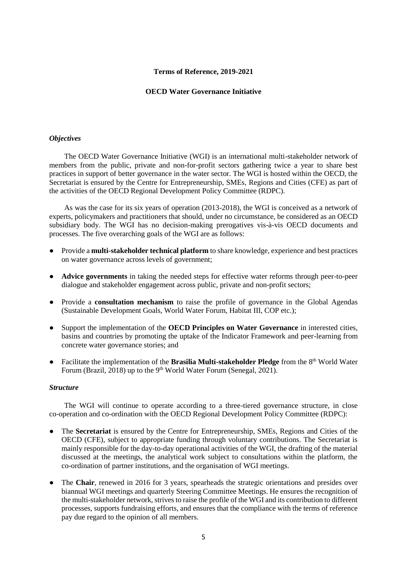### **Terms of Reference, 2019-2021**

#### **OECD Water Governance Initiative**

## <span id="page-4-1"></span><span id="page-4-0"></span>*Objectives*

The OECD Water Governance Initiative (WGI) is an international multi-stakeholder network of members from the public, private and non-for-profit sectors gathering twice a year to share best practices in support of better governance in the water sector. The WGI is hosted within the OECD, the Secretariat is ensured by the Centre for Entrepreneurship, SMEs, Regions and Cities (CFE) as part of the activities of the OECD Regional Development Policy Committee (RDPC).

As was the case for its six years of operation (2013-2018), the WGI is conceived as a network of experts, policymakers and practitioners that should, under no circumstance, be considered as an OECD subsidiary body. The WGI has no decision-making prerogatives vis-à-vis OECD documents and processes. The five overarching goals of the WGI are as follows:

- Provide a **multi-stakeholder technical platform** to share knowledge, experience and best practices on water governance across levels of government;
- **Advice governments** in taking the needed steps for effective water reforms through peer-to-peer dialogue and stakeholder engagement across public, private and non-profit sectors;
- Provide a **consultation mechanism** to raise the profile of governance in the Global Agendas (Sustainable Development Goals, World Water Forum, Habitat III, COP etc.);
- Support the implementation of the **OECD Principles on Water Governance** in interested cities, basins and countries by promoting the uptake of the Indicator Framework and peer-learning from concrete water governance stories; and
- Facilitate the implementation of the **Brasilia Multi-stakeholder Pledge** from the 8<sup>th</sup> World Water Forum (Brazil, 2018) up to the 9<sup>th</sup> World Water Forum (Senegal, 2021).

## <span id="page-4-2"></span>*Structure*

The WGI will continue to operate according to a three-tiered governance structure, in close co-operation and co-ordination with the OECD Regional Development Policy Committee (RDPC):

- The **Secretariat** is ensured by the Centre for Entrepreneurship, SMEs, Regions and Cities of the OECD (CFE), subject to appropriate funding through voluntary contributions. The Secretariat is mainly responsible for the day-to-day operational activities of the WGI, the drafting of the material discussed at the meetings, the analytical work subject to consultations within the platform, the co-ordination of partner institutions, and the organisation of WGI meetings.
- The **Chair**, renewed in 2016 for 3 years, spearheads the strategic orientations and presides over biannual WGI meetings and quarterly Steering Committee Meetings. He ensures the recognition of the multi-stakeholder network, strives to raise the profile of the WGI and its contribution to different processes, supports fundraising efforts, and ensures that the compliance with the terms of reference pay due regard to the opinion of all members.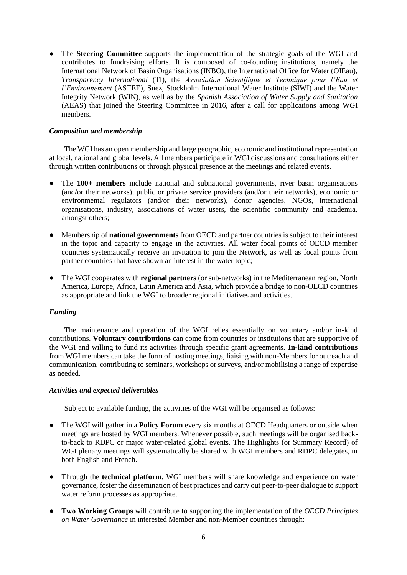● The **Steering Committee** supports the implementation of the strategic goals of the WGI and contributes to fundraising efforts. It is composed of co-founding institutions, namely the International Network of Basin Organisations (INBO), the International Office for Water (OIEau), *Transparency International* (TI), the *Association Scientifique et Technique pour l'Eau et l'Environnement* (ASTEE), Suez, Stockholm International Water Institute (SIWI) and the Water Integrity Network (WIN), as well as by the *Spanish Association of Water Supply and Sanitation* (AEAS) that joined the Steering Committee in 2016, after a call for applications among WGI members.

# <span id="page-5-0"></span>*Composition and membership*

The WGI has an open membership and large geographic, economic and institutional representation at local, national and global levels. All members participate in WGI discussions and consultations either through written contributions or through physical presence at the meetings and related events.

- The **100+ members** include national and subnational governments, river basin organisations (and/or their networks), public or private service providers (and/or their networks), economic or environmental regulators (and/or their networks), donor agencies, NGOs, international organisations, industry, associations of water users, the scientific community and academia, amongst others;
- Membership of **national governments** from OECD and partner countries is subject to their interest in the topic and capacity to engage in the activities. All water focal points of OECD member countries systematically receive an invitation to join the Network, as well as focal points from partner countries that have shown an interest in the water topic;
- The WGI cooperates with **regional partners** (or sub-networks) in the Mediterranean region, North America, Europe, Africa, Latin America and Asia, which provide a bridge to non-OECD countries as appropriate and link the WGI to broader regional initiatives and activities.

# <span id="page-5-1"></span>*Funding*

The maintenance and operation of the WGI relies essentially on voluntary and/or in-kind contributions. **Voluntary contributions** can come from countries or institutions that are supportive of the WGI and willing to fund its activities through specific grant agreements. **In-kind contributions** from WGI members can take the form of hosting meetings, liaising with non-Members for outreach and communication, contributing to seminars, workshops or surveys, and/or mobilising a range of expertise as needed.

# <span id="page-5-2"></span>*Activities and expected deliverables*

Subject to available funding, the activities of the WGI will be organised as follows:

- The WGI will gather in a **Policy Forum** every six months at OECD Headquarters or outside when meetings are hosted by WGI members. Whenever possible, such meetings will be organised backto-back to RDPC or major water-related global events. The Highlights (or Summary Record) of WGI plenary meetings will systematically be shared with WGI members and RDPC delegates, in both English and French.
- Through the **technical platform**, WGI members will share knowledge and experience on water governance, foster the dissemination of best practices and carry out peer-to-peer dialogue to support water reform processes as appropriate.
- **Two Working Groups** will contribute to supporting the implementation of the *OECD Principles on Water Governance* in interested Member and non-Member countries through: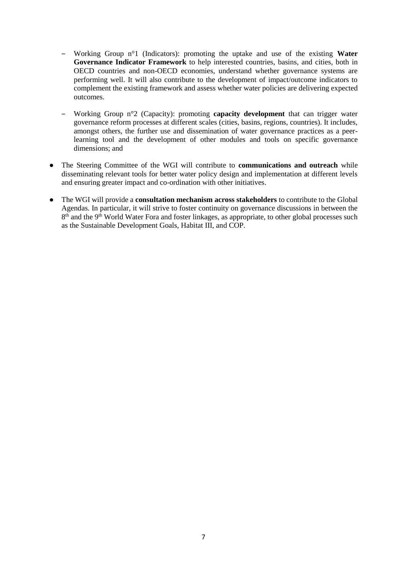- ‒ Working Group n°1 (Indicators): promoting the uptake and use of the existing **Water Governance Indicator Framework** to help interested countries, basins, and cities, both in OECD countries and non-OECD economies, understand whether governance systems are performing well. It will also contribute to the development of impact/outcome indicators to complement the existing framework and assess whether water policies are delivering expected outcomes.
- ‒ Working Group n°2 (Capacity): promoting **capacity development** that can trigger water governance reform processes at different scales (cities, basins, regions, countries). It includes, amongst others, the further use and dissemination of water governance practices as a peerlearning tool and the development of other modules and tools on specific governance dimensions; and
- The Steering Committee of the WGI will contribute to **communications and outreach** while disseminating relevant tools for better water policy design and implementation at different levels and ensuring greater impact and co-ordination with other initiatives.
- The WGI will provide a **consultation mechanism across stakeholders** to contribute to the Global Agendas. In particular, it will strive to foster continuity on governance discussions in between the 8<sup>th</sup> and the 9<sup>th</sup> World Water Fora and foster linkages, as appropriate, to other global processes such as the Sustainable Development Goals, Habitat III, and COP.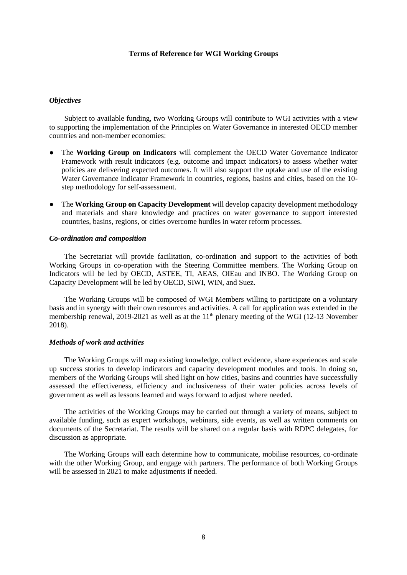#### **Terms of Reference for WGI Working Groups**

# <span id="page-7-1"></span><span id="page-7-0"></span>*Objectives*

Subject to available funding, two Working Groups will contribute to WGI activities with a view to supporting the implementation of the Principles on Water Governance in interested OECD member countries and non-member economies:

- The **Working Group on Indicators** will complement the OECD Water Governance Indicator Framework with result indicators (e.g. outcome and impact indicators) to assess whether water policies are delivering expected outcomes. It will also support the uptake and use of the existing Water Governance Indicator Framework in countries, regions, basins and cities, based on the 10 step methodology for self-assessment.
- The **Working Group on Capacity Development** will develop capacity development methodology and materials and share knowledge and practices on water governance to support interested countries, basins, regions, or cities overcome hurdles in water reform processes.

#### <span id="page-7-2"></span>*Co-ordination and composition*

The Secretariat will provide facilitation, co-ordination and support to the activities of both Working Groups in co-operation with the Steering Committee members. The Working Group on Indicators will be led by OECD, ASTEE, TI, AEAS, OIEau and INBO. The Working Group on Capacity Development will be led by OECD, SIWI, WIN, and Suez.

The Working Groups will be composed of WGI Members willing to participate on a voluntary basis and in synergy with their own resources and activities. A call for application was extended in the membership renewal, 2019-2021 as well as at the 11<sup>th</sup> plenary meeting of the WGI (12-13 November 2018).

# <span id="page-7-3"></span>*Methods of work and activities*

The Working Groups will map existing knowledge, collect evidence, share experiences and scale up success stories to develop indicators and capacity development modules and tools. In doing so, members of the Working Groups will shed light on how cities, basins and countries have successfully assessed the effectiveness, efficiency and inclusiveness of their water policies across levels of government as well as lessons learned and ways forward to adjust where needed.

The activities of the Working Groups may be carried out through a variety of means, subject to available funding, such as expert workshops, webinars, side events, as well as written comments on documents of the Secretariat. The results will be shared on a regular basis with RDPC delegates, for discussion as appropriate.

The Working Groups will each determine how to communicate, mobilise resources, co-ordinate with the other Working Group, and engage with partners. The performance of both Working Groups will be assessed in 2021 to make adjustments if needed.